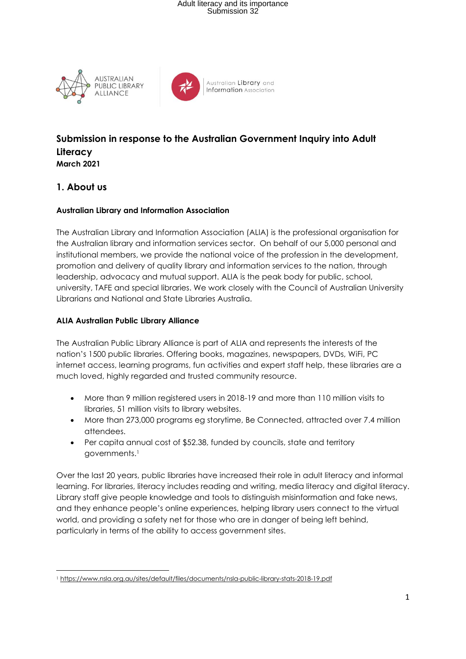# Adult literacy and its importance Submission 32





Australian Library and **Information** Association

### **Submission in response to the Australian Government Inquiry into Adult Literacy March 2021**

#### **1. About us**

#### **Australian Library and Information Association**

The Australian Library and Information Association (ALIA) is the professional organisation for the Australian library and information services sector. On behalf of our 5,000 personal and institutional members, we provide the national voice of the profession in the development, promotion and delivery of quality library and information services to the nation, through leadership, advocacy and mutual support. ALIA is the peak body for public, school, university, TAFE and special libraries. We work closely with the Council of Australian University Librarians and National and State Libraries Australia.

#### **ALIA Australian Public Library Alliance**

The Australian Public Library Alliance is part of ALIA and represents the interests of the nation's 1500 public libraries. Offering books, magazines, newspapers, DVDs, WiFi, PC internet access, learning programs, fun activities and expert staff help, these libraries are a much loved, highly regarded and trusted community resource.

- More than 9 million registered users in 2018-19 and more than 110 million visits to libraries, 51 million visits to library websites.
- More than 273,000 programs eg storytime, Be Connected, attracted over 7.4 million attendees.
- Per capita annual cost of \$52.38, funded by councils, state and territory governments.<sup>1</sup>

Over the last 20 years, public libraries have increased their role in adult literacy and informal learning. For libraries, literacy includes reading and writing, media literacy and digital literacy. Library staff give people knowledge and tools to distinguish misinformation and fake news, and they enhance people's online experiences, helping library users connect to the virtual world, and providing a safety net for those who are in danger of being left behind, particularly in terms of the ability to access government sites.

<sup>1</sup> <https://www.nsla.org.au/sites/default/files/documents/nsla-public-library-stats-2018-19.pdf>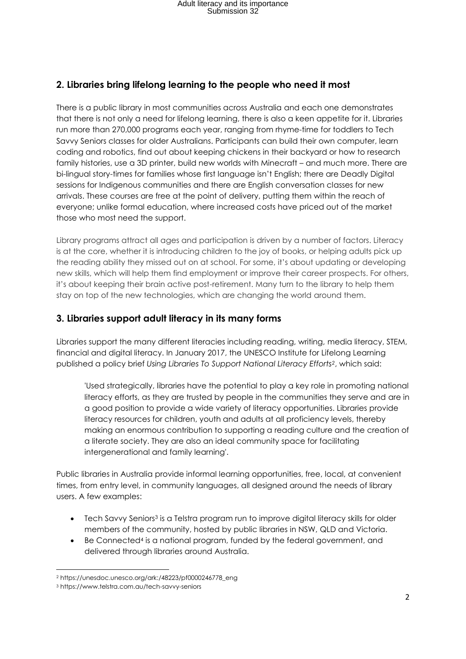## **2. Libraries bring lifelong learning to the people who need it most**

There is a public library in most communities across Australia and each one demonstrates that there is not only a need for lifelong learning, there is also a keen appetite for it. Libraries run more than 270,000 programs each year, ranging from rhyme-time for toddlers to Tech Savvy Seniors classes for older Australians. Participants can build their own computer, learn coding and robotics, find out about keeping chickens in their backyard or how to research family histories, use a 3D printer, build new worlds with Minecraft – and much more. There are bi-lingual story-times for families whose first language isn't English; there are Deadly Digital sessions for Indigenous communities and there are English conversation classes for new arrivals. These courses are free at the point of delivery, putting them within the reach of everyone; unlike formal education, where increased costs have priced out of the market those who most need the support.

Library programs attract all ages and participation is driven by a number of factors. Literacy is at the core, whether it is introducing children to the joy of books, or helping adults pick up the reading ability they missed out on at school. For some, it's about updating or developing new skills, which will help them find employment or improve their career prospects. For others, it's about keeping their brain active post-retirement. Many turn to the library to help them stay on top of the new technologies, which are changing the world around them.

## **3. Libraries support adult literacy in its many forms**

Libraries support the many different literacies including reading, writing, media literacy, STEM, financial and digital literacy. In January 2017, the UNESCO Institute for Lifelong Learning published a policy brief *Using Libraries To Support National Literacy Efforts2*, which said:

'Used strategically, libraries have the potential to play a key role in promoting national literacy efforts, as they are trusted by people in the communities they serve and are in a good position to provide a wide variety of literacy opportunities. Libraries provide literacy resources for children, youth and adults at all proficiency levels, thereby making an enormous contribution to supporting a reading culture and the creation of a literate society. They are also an ideal community space for facilitating intergenerational and family learning'.

Public libraries in Australia provide informal learning opportunities, free, local, at convenient times, from entry level, in community languages, all designed around the needs of library users. A few examples:

- Tech Savvy Seniors<sup>3</sup> is a Telstra program run to improve digital literacy skills for older members of the community, hosted by public libraries in NSW, QLD and Victoria.
- Be Connected<sup>4</sup> is a national program, funded by the federal government, and delivered through libraries around Australia.

<sup>2</sup> https://unesdoc.unesco.org/ark:/48223/pf0000246778\_eng

<sup>3</sup> https://www.telstra.com.au/tech-savvy-seniors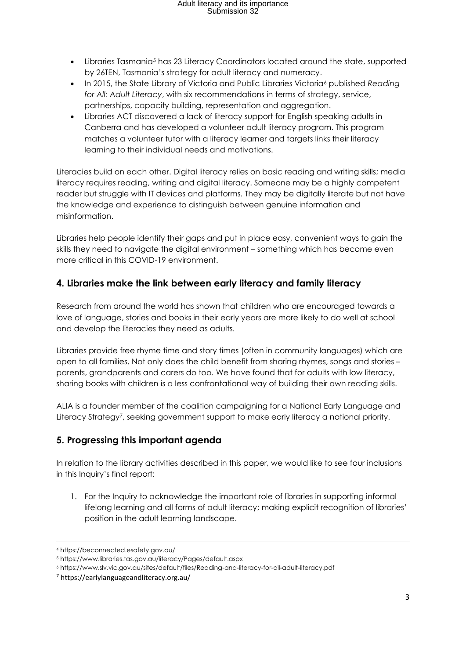# Adult literacy and its importance Submission 32

- Libraries Tasmania<sup>5</sup> has 23 Literacy Coordinators located around the state, supported by 26TEN, Tasmania's strategy for adult literacy and numeracy.
- In 2015, the State Library of Victoria and Public Libraries Victoria<sup>6</sup> published *Reading for All: Adult Literacy*, with six recommendations in terms of strategy, service, partnerships, capacity building, representation and aggregation.
- Libraries ACT discovered a lack of literacy support for English speaking adults in Canberra and has developed a volunteer adult literacy program. This program matches a volunteer tutor with a literacy learner and targets links their literacy learning to their individual needs and motivations.

Literacies build on each other. Digital literacy relies on basic reading and writing skills; media literacy requires reading, writing and digital literacy. Someone may be a highly competent reader but struggle with IT devices and platforms. They may be digitally literate but not have the knowledge and experience to distinguish between genuine information and misinformation.

Libraries help people identify their gaps and put in place easy, convenient ways to gain the skills they need to navigate the digital environment – something which has become even more critical in this COVID-19 environment.

## **4. Libraries make the link between early literacy and family literacy**

Research from around the world has shown that children who are encouraged towards a love of language, stories and books in their early years are more likely to do well at school and develop the literacies they need as adults.

Libraries provide free rhyme time and story times (often in community languages) which are open to all families. Not only does the child benefit from sharing rhymes, songs and stories – parents, grandparents and carers do too. We have found that for adults with low literacy, sharing books with children is a less confrontational way of building their own reading skills.

ALIA is a founder member of the coalition campaigning for a National Early Language and Literacy Strategy<sup>7</sup>, seeking government support to make early literacy a national priority.

## **5. Progressing this important agenda**

In relation to the library activities described in this paper, we would like to see four inclusions in this Inquiry's final report:

1. For the Inquiry to acknowledge the important role of libraries in supporting informal lifelong learning and all forms of adult literacy; making explicit recognition of libraries' position in the adult learning landscape.

<sup>4</sup> https://beconnected.esafety.gov.au/

<sup>5</sup> https://www.libraries.tas.gov.au/literacy/Pages/default.aspx

<sup>6</sup> https://www.slv.vic.gov.au/sites/default/files/Reading-and-literacy-for-all-adult-literacy.pdf

<sup>7</sup> https://earlylanguageandliteracy.org.au/